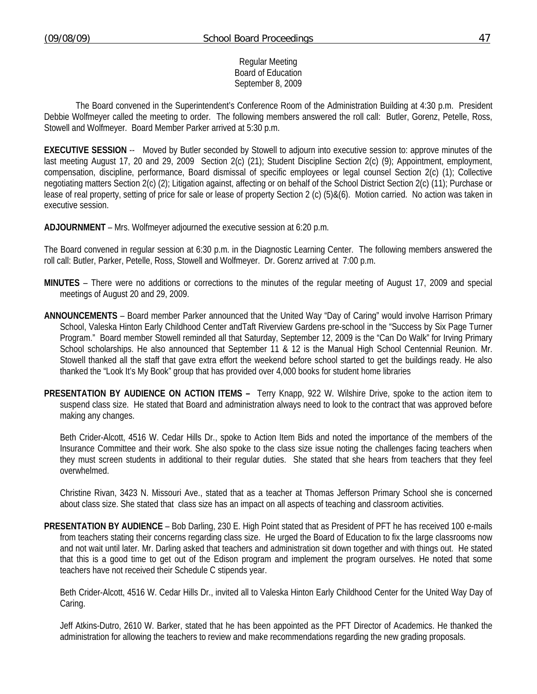### Regular Meeting Board of Education September 8, 2009

 The Board convened in the Superintendent's Conference Room of the Administration Building at 4:30 p.m. President Debbie Wolfmeyer called the meeting to order. The following members answered the roll call: Butler, Gorenz, Petelle, Ross, Stowell and Wolfmeyer. Board Member Parker arrived at 5:30 p.m.

**EXECUTIVE SESSION** -- Moved by Butler seconded by Stowell to adjourn into executive session to: approve minutes of the last meeting August 17, 20 and 29, 2009 Section 2(c) (21); Student Discipline Section 2(c) (9); Appointment, employment, compensation, discipline, performance, Board dismissal of specific employees or legal counsel Section 2(c) (1); Collective negotiating matters Section 2(c) (2); Litigation against, affecting or on behalf of the School District Section 2(c) (11); Purchase or lease of real property, setting of price for sale or lease of property Section 2 (c) (5)&(6). Motion carried. No action was taken in executive session.

**ADJOURNMENT** – Mrs. Wolfmeyer adjourned the executive session at 6:20 p.m.

The Board convened in regular session at 6:30 p.m. in the Diagnostic Learning Center. The following members answered the roll call: Butler, Parker, Petelle, Ross, Stowell and Wolfmeyer. Dr. Gorenz arrived at 7:00 p.m.

- **MINUTES** There were no additions or corrections to the minutes of the regular meeting of August 17, 2009 and special meetings of August 20 and 29, 2009.
- **ANNOUNCEMENTS** Board member Parker announced that the United Way "Day of Caring" would involve Harrison Primary School, Valeska Hinton Early Childhood Center andTaft Riverview Gardens pre-school in the "Success by Six Page Turner Program." Board member Stowell reminded all that Saturday, September 12, 2009 is the "Can Do Walk" for Irving Primary School scholarships. He also announced that September 11 & 12 is the Manual High School Centennial Reunion. Mr. Stowell thanked all the staff that gave extra effort the weekend before school started to get the buildings ready. He also thanked the "Look It's My Book" group that has provided over 4,000 books for student home libraries
- **PRESENTATION BY AUDIENCE ON ACTION ITEMS** Terry Knapp, 922 W. Wilshire Drive, spoke to the action item to suspend class size. He stated that Board and administration always need to look to the contract that was approved before making any changes.

 Beth Crider-Alcott, 4516 W. Cedar Hills Dr., spoke to Action Item Bids and noted the importance of the members of the Insurance Committee and their work. She also spoke to the class size issue noting the challenges facing teachers when they must screen students in additional to their regular duties. She stated that she hears from teachers that they feel overwhelmed.

 Christine Rivan, 3423 N. Missouri Ave., stated that as a teacher at Thomas Jefferson Primary School she is concerned about class size. She stated that class size has an impact on all aspects of teaching and classroom activities.

**PRESENTATION BY AUDIENCE** – Bob Darling, 230 E. High Point stated that as President of PFT he has received 100 e-mails from teachers stating their concerns regarding class size. He urged the Board of Education to fix the large classrooms now and not wait until later. Mr. Darling asked that teachers and administration sit down together and with things out. He stated that this is a good time to get out of the Edison program and implement the program ourselves. He noted that some teachers have not received their Schedule C stipends year.

 Beth Crider-Alcott, 4516 W. Cedar Hills Dr., invited all to Valeska Hinton Early Childhood Center for the United Way Day of Caring.

 Jeff Atkins-Dutro, 2610 W. Barker, stated that he has been appointed as the PFT Director of Academics. He thanked the administration for allowing the teachers to review and make recommendations regarding the new grading proposals.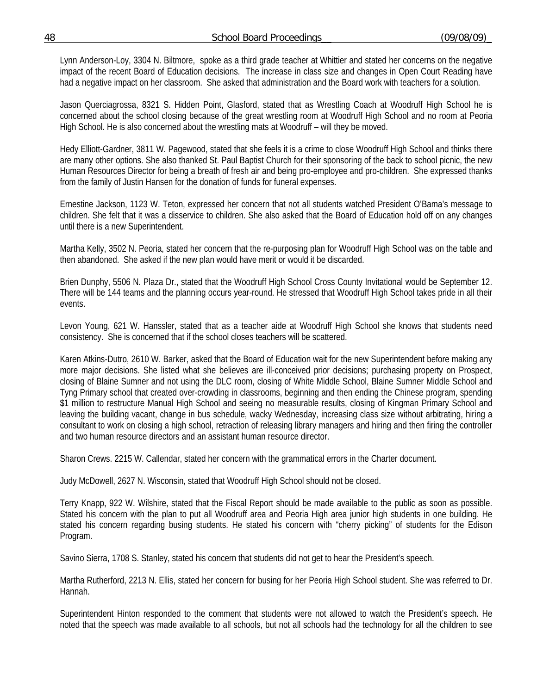Lynn Anderson-Loy, 3304 N. Biltmore, spoke as a third grade teacher at Whittier and stated her concerns on the negative impact of the recent Board of Education decisions. The increase in class size and changes in Open Court Reading have had a negative impact on her classroom. She asked that administration and the Board work with teachers for a solution.

 Jason Querciagrossa, 8321 S. Hidden Point, Glasford, stated that as Wrestling Coach at Woodruff High School he is concerned about the school closing because of the great wrestling room at Woodruff High School and no room at Peoria High School. He is also concerned about the wrestling mats at Woodruff – will they be moved.

 Hedy Elliott-Gardner, 3811 W. Pagewood, stated that she feels it is a crime to close Woodruff High School and thinks there are many other options. She also thanked St. Paul Baptist Church for their sponsoring of the back to school picnic, the new Human Resources Director for being a breath of fresh air and being pro-employee and pro-children. She expressed thanks from the family of Justin Hansen for the donation of funds for funeral expenses.

 Ernestine Jackson, 1123 W. Teton, expressed her concern that not all students watched President O'Bama's message to children. She felt that it was a disservice to children. She also asked that the Board of Education hold off on any changes until there is a new Superintendent.

 Martha Kelly, 3502 N. Peoria, stated her concern that the re-purposing plan for Woodruff High School was on the table and then abandoned. She asked if the new plan would have merit or would it be discarded.

 Brien Dunphy, 5506 N. Plaza Dr., stated that the Woodruff High School Cross County Invitational would be September 12. There will be 144 teams and the planning occurs year-round. He stressed that Woodruff High School takes pride in all their events.

 Levon Young, 621 W. Hanssler, stated that as a teacher aide at Woodruff High School she knows that students need consistency. She is concerned that if the school closes teachers will be scattered.

 Karen Atkins-Dutro, 2610 W. Barker, asked that the Board of Education wait for the new Superintendent before making any more major decisions. She listed what she believes are ill-conceived prior decisions; purchasing property on Prospect, closing of Blaine Sumner and not using the DLC room, closing of White Middle School, Blaine Sumner Middle School and Tyng Primary school that created over-crowding in classrooms, beginning and then ending the Chinese program, spending \$1 million to restructure Manual High School and seeing no measurable results, closing of Kingman Primary School and leaving the building vacant, change in bus schedule, wacky Wednesday, increasing class size without arbitrating, hiring a consultant to work on closing a high school, retraction of releasing library managers and hiring and then firing the controller and two human resource directors and an assistant human resource director.

Sharon Crews. 2215 W. Callendar, stated her concern with the grammatical errors in the Charter document.

Judy McDowell, 2627 N. Wisconsin, stated that Woodruff High School should not be closed.

 Terry Knapp, 922 W. Wilshire, stated that the Fiscal Report should be made available to the public as soon as possible. Stated his concern with the plan to put all Woodruff area and Peoria High area junior high students in one building. He stated his concern regarding busing students. He stated his concern with "cherry picking" of students for the Edison Program.

Savino Sierra, 1708 S. Stanley, stated his concern that students did not get to hear the President's speech.

 Martha Rutherford, 2213 N. Ellis, stated her concern for busing for her Peoria High School student. She was referred to Dr. Hannah.

 Superintendent Hinton responded to the comment that students were not allowed to watch the President's speech. He noted that the speech was made available to all schools, but not all schools had the technology for all the children to see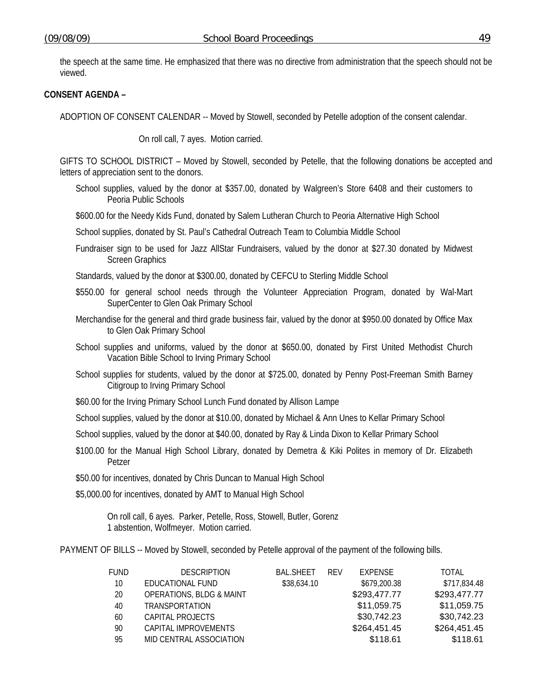the speech at the same time. He emphasized that there was no directive from administration that the speech should not be viewed.

## **CONSENT AGENDA –**

ADOPTION OF CONSENT CALENDAR -- Moved by Stowell, seconded by Petelle adoption of the consent calendar.

On roll call, 7 ayes. Motion carried.

GIFTS TO SCHOOL DISTRICT – Moved by Stowell, seconded by Petelle, that the following donations be accepted and letters of appreciation sent to the donors.

School supplies, valued by the donor at \$357.00, donated by Walgreen's Store 6408 and their customers to Peoria Public Schools

\$600.00 for the Needy Kids Fund, donated by Salem Lutheran Church to Peoria Alternative High School

School supplies, donated by St. Paul's Cathedral Outreach Team to Columbia Middle School

Fundraiser sign to be used for Jazz AllStar Fundraisers, valued by the donor at \$27.30 donated by Midwest Screen Graphics

Standards, valued by the donor at \$300.00, donated by CEFCU to Sterling Middle School

- \$550.00 for general school needs through the Volunteer Appreciation Program, donated by Wal-Mart SuperCenter to Glen Oak Primary School
- Merchandise for the general and third grade business fair, valued by the donor at \$950.00 donated by Office Max to Glen Oak Primary School
- School supplies and uniforms, valued by the donor at \$650.00, donated by First United Methodist Church Vacation Bible School to Irving Primary School
- School supplies for students, valued by the donor at \$725.00, donated by Penny Post-Freeman Smith Barney Citigroup to Irving Primary School
- \$60.00 for the Irving Primary School Lunch Fund donated by Allison Lampe

School supplies, valued by the donor at \$10.00, donated by Michael & Ann Unes to Kellar Primary School

School supplies, valued by the donor at \$40.00, donated by Ray & Linda Dixon to Kellar Primary School

\$100.00 for the Manual High School Library, donated by Demetra & Kiki Polites in memory of Dr. Elizabeth Petzer

\$50.00 for incentives, donated by Chris Duncan to Manual High School

\$5,000.00 for incentives, donated by AMT to Manual High School

 On roll call, 6 ayes. Parker, Petelle, Ross, Stowell, Butler, Gorenz 1 abstention, Wolfmeyer. Motion carried.

PAYMENT OF BILLS -- Moved by Stowell, seconded by Petelle approval of the payment of the following bills.

| <b>FUND</b> | <b>DESCRIPTION</b>                  | <b>BAL.SHEET</b> | <b>RFV</b> | EXPENSE      | TOTAL        |
|-------------|-------------------------------------|------------------|------------|--------------|--------------|
| 10          | EDUCATIONAL FUND                    | \$38,634.10      |            | \$679,200.38 | \$717,834.48 |
| 20          | <b>OPERATIONS, BLDG &amp; MAINT</b> |                  |            | \$293,477.77 | \$293,477.77 |
| 40          | <b>TRANSPORTATION</b>               |                  |            | \$11,059.75  | \$11,059.75  |
| 60          | CAPITAL PROJECTS                    |                  |            | \$30,742.23  | \$30,742.23  |
| 90          | CAPITAL IMPROVEMENTS                |                  |            | \$264,451.45 | \$264,451.45 |
| 95          | MID CENTRAL ASSOCIATION             |                  |            | \$118.61     | \$118.61     |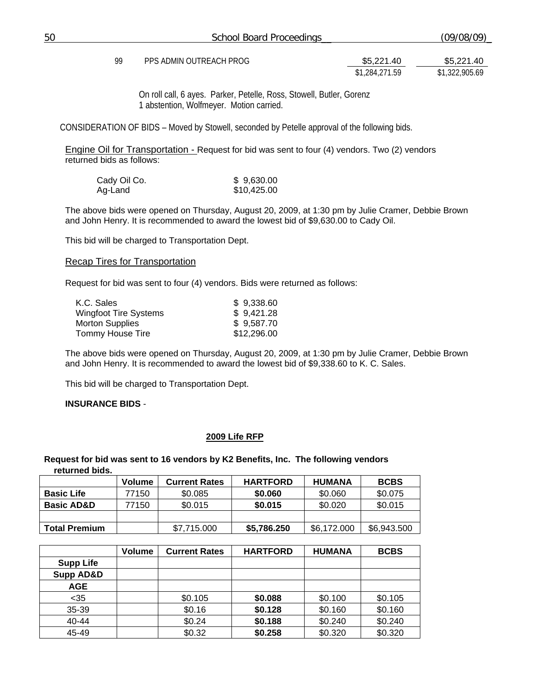On roll call, 6 ayes. Parker, Petelle, Ross, Stowell, Butler, Gorenz 1 abstention, Wolfmeyer. Motion carried.

CONSIDERATION OF BIDS – Moved by Stowell, seconded by Petelle approval of the following bids.

Engine Oil for Transportation - Request for bid was sent to four (4) vendors. Two (2) vendors returned bids as follows:

| Cady Oil Co. | \$9,630.00  |
|--------------|-------------|
| Ag-Land      | \$10,425.00 |

The above bids were opened on Thursday, August 20, 2009, at 1:30 pm by Julie Cramer, Debbie Brown and John Henry. It is recommended to award the lowest bid of \$9,630.00 to Cady Oil.

This bid will be charged to Transportation Dept.

#### Recap Tires for Transportation

Request for bid was sent to four (4) vendors. Bids were returned as follows:

| \$9,338.60  |
|-------------|
| \$9,421.28  |
| \$9,587.70  |
| \$12,296.00 |
|             |

The above bids were opened on Thursday, August 20, 2009, at 1:30 pm by Julie Cramer, Debbie Brown and John Henry. It is recommended to award the lowest bid of \$9,338.60 to K. C. Sales.

This bid will be charged to Transportation Dept.

#### **INSURANCE BIDS** -

#### **2009 Life RFP**

#### **Request for bid was sent to 16 vendors by K2 Benefits, Inc. The following vendors returned bids.**

|                       | <b>Volume</b> | <b>Current Rates</b> | <b>HARTFORD</b> | <b>HUMANA</b> | <b>BCBS</b> |
|-----------------------|---------------|----------------------|-----------------|---------------|-------------|
| <b>Basic Life</b>     | 77150         | \$0.085              | \$0,060         | \$0.060       | \$0.075     |
| <b>Basic AD&amp;D</b> | 77150         | \$0.015              | \$0.015         | \$0.020       | \$0.015     |
|                       |               |                      |                 |               |             |
| <b>Total Premium</b>  |               | \$7.715.000          | \$5,786.250     | \$6,172.000   | \$6,943.500 |

|                  | <b>Volume</b> | <b>Current Rates</b> | <b>HARTFORD</b> | <b>HUMANA</b> | <b>BCBS</b> |
|------------------|---------------|----------------------|-----------------|---------------|-------------|
| <b>Supp Life</b> |               |                      |                 |               |             |
| Supp AD&D        |               |                      |                 |               |             |
| <b>AGE</b>       |               |                      |                 |               |             |
| $<$ 35           |               | \$0.105              | \$0.088         | \$0.100       | \$0.105     |
| 35-39            |               | \$0.16               | \$0.128         | \$0.160       | \$0.160     |
| $40 - 44$        |               | \$0.24               | \$0.188         | \$0.240       | \$0.240     |
| 45-49            |               | \$0.32               | \$0.258         | \$0.320       | \$0.320     |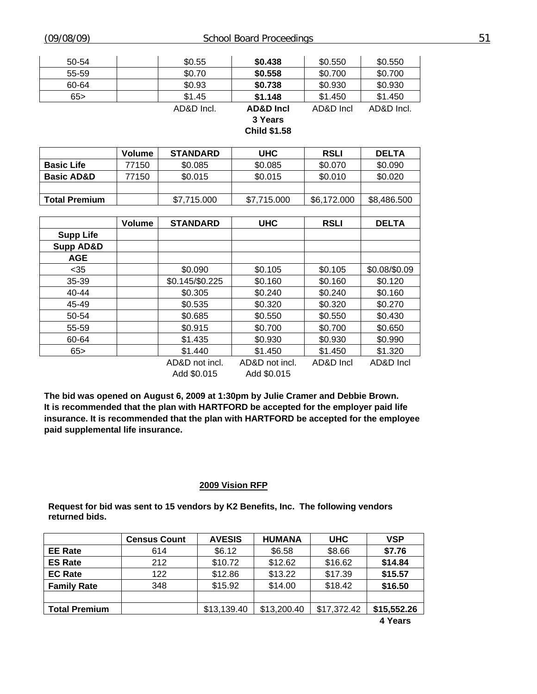| 50-54 | \$0.55     | \$0.438              | \$0.550   | \$0.550    |
|-------|------------|----------------------|-----------|------------|
| 55-59 | \$0.70     | \$0.558              | \$0.700   | \$0.700    |
| 60-64 | \$0.93     | \$0.738              | \$0.930   | \$0.930    |
| 65    | \$1.45     | \$1.148              | \$1.450   | \$1.450    |
|       | AD&D Incl. | <b>AD&amp;D Incl</b> | AD&D Incl | AD&D Incl. |
|       |            | 3 Years              |           |            |
|       |            | <b>Child \$1.58</b>  |           |            |
|       |            |                      |           |            |

|                       | Volume | <b>STANDARD</b> | <b>UHC</b>     | <b>RSLI</b> | <b>DELTA</b>  |
|-----------------------|--------|-----------------|----------------|-------------|---------------|
| <b>Basic Life</b>     | 77150  | \$0.085         | \$0.085        | \$0.070     | \$0.090       |
| <b>Basic AD&amp;D</b> | 77150  | \$0.015         | \$0.015        | \$0.010     | \$0.020       |
|                       |        |                 |                |             |               |
| <b>Total Premium</b>  |        | \$7,715.000     | \$7,715.000    | \$6,172.000 | \$8,486.500   |
|                       |        |                 |                |             |               |
|                       | Volume | <b>STANDARD</b> | <b>UHC</b>     | <b>RSLI</b> | <b>DELTA</b>  |
| <b>Supp Life</b>      |        |                 |                |             |               |
| <b>Supp AD&amp;D</b>  |        |                 |                |             |               |
| <b>AGE</b>            |        |                 |                |             |               |
| $35$                  |        | \$0.090         | \$0.105        | \$0.105     | \$0.08/\$0.09 |
| 35-39                 |        | \$0.145/\$0.225 | \$0.160        | \$0.160     | \$0.120       |
| 40-44                 |        | \$0.305         | \$0.240        | \$0.240     | \$0.160       |
| 45-49                 |        | \$0.535         | \$0.320        | \$0.320     | \$0.270       |
| 50-54                 |        | \$0.685         | \$0.550        | \$0.550     | \$0.430       |
| 55-59                 |        | \$0.915         | \$0.700        | \$0.700     | \$0.650       |
| 60-64                 |        | \$1.435         | \$0.930        | \$0.930     | \$0.990       |
| 65                    |        | \$1.440         | \$1.450        | \$1.450     | \$1.320       |
|                       |        | AD&D not incl.  | AD&D not incl. | AD&D Incl   | AD&D Incl     |

Add \$0.015 Add \$0.015

**The bid was opened on August 6, 2009 at 1:30pm by Julie Cramer and Debbie Brown. It is recommended that the plan with HARTFORD be accepted for the employer paid life insurance. It is recommended that the plan with HARTFORD be accepted for the employee paid supplemental life insurance.** 

#### **2009 Vision RFP**

**Request for bid was sent to 15 vendors by K2 Benefits, Inc. The following vendors returned bids.** 

|                      | <b>Census Count</b> | <b>AVESIS</b> | <b>HUMANA</b> | <b>UHC</b>  | <b>VSP</b>  |
|----------------------|---------------------|---------------|---------------|-------------|-------------|
| <b>EE Rate</b>       | 614                 | \$6.12        | \$6.58        | \$8.66      | \$7.76      |
| <b>ES Rate</b>       | 212                 | \$10.72       | \$12.62       | \$16.62     | \$14.84     |
| <b>EC Rate</b>       | 122                 | \$12.86       | \$13.22       | \$17.39     | \$15.57     |
| <b>Family Rate</b>   | 348                 | \$15.92       | \$14.00       | \$18.42     | \$16.50     |
|                      |                     |               |               |             |             |
| <b>Total Premium</b> |                     | \$13,139.40   | \$13,200.40   | \$17,372.42 | \$15,552.26 |
|                      |                     |               |               |             | 4 Years     |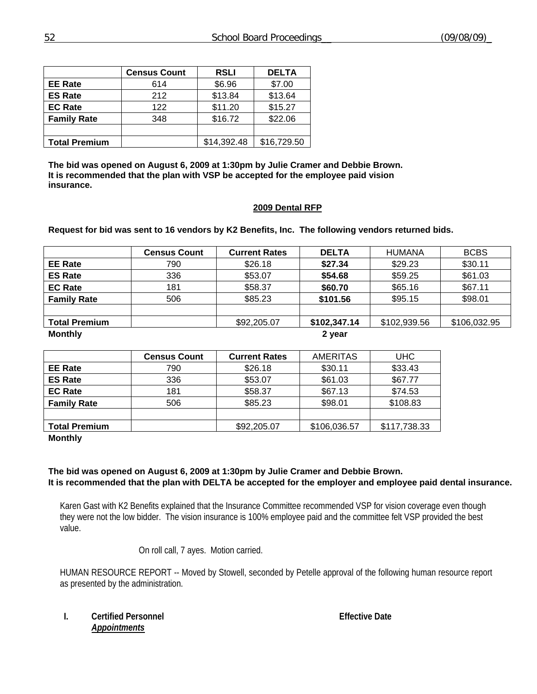|                      | <b>Census Count</b> | <b>RSLI</b> | <b>DELTA</b> |
|----------------------|---------------------|-------------|--------------|
| <b>EE Rate</b>       | 614                 | \$6.96      | \$7.00       |
| <b>ES Rate</b>       | 212                 | \$13.84     | \$13.64      |
| <b>EC Rate</b>       | 122                 | \$11.20     | \$15.27      |
| <b>Family Rate</b>   | 348                 | \$16.72     | \$22.06      |
|                      |                     |             |              |
| <b>Total Premium</b> |                     | \$14,392.48 | \$16,729.50  |

**The bid was opened on August 6, 2009 at 1:30pm by Julie Cramer and Debbie Brown. It is recommended that the plan with VSP be accepted for the employee paid vision insurance.** 

#### **2009 Dental RFP**

**Request for bid was sent to 16 vendors by K2 Benefits, Inc. The following vendors returned bids.** 

|                      | <b>Census Count</b> | <b>Current Rates</b> | <b>DELTA</b> | <b>HUMANA</b> | <b>BCBS</b>  |
|----------------------|---------------------|----------------------|--------------|---------------|--------------|
| <b>EE Rate</b>       | 790                 | \$26.18              | \$27.34      | \$29.23       | \$30.11      |
| <b>ES Rate</b>       | 336                 | \$53.07              | \$54.68      | \$59.25       | \$61.03      |
| <b>EC Rate</b>       | 181                 | \$58.37              | \$60.70      | \$65.16       | \$67.11      |
| <b>Family Rate</b>   | 506                 | \$85.23              | \$101.56     | \$95.15       | \$98.01      |
|                      |                     |                      |              |               |              |
| <b>Total Premium</b> |                     | \$92,205.07          | \$102,347.14 | \$102,939.56  | \$106,032.95 |
| <b>Monthly</b>       |                     |                      | 2 year       |               |              |

|                      | <b>Census Count</b> | <b>Current Rates</b> | <b>AMERITAS</b> | <b>UHC</b>   |
|----------------------|---------------------|----------------------|-----------------|--------------|
| <b>EE Rate</b>       | 790                 | \$26.18              | \$30.11         | \$33.43      |
| <b>ES Rate</b>       | 336                 | \$53.07              | \$61.03         | \$67.77      |
| <b>EC Rate</b>       | 181                 | \$58.37              | \$67.13         | \$74.53      |
| <b>Family Rate</b>   | 506                 | \$85.23              | \$98.01         | \$108.83     |
|                      |                     |                      |                 |              |
| <b>Total Premium</b> |                     | \$92,205.07          | \$106,036.57    | \$117,738.33 |

**Monthly** 

## **The bid was opened on August 6, 2009 at 1:30pm by Julie Cramer and Debbie Brown. It is recommended that the plan with DELTA be accepted for the employer and employee paid dental insurance.**

Karen Gast with K2 Benefits explained that the Insurance Committee recommended VSP for vision coverage even though they were not the low bidder. The vision insurance is 100% employee paid and the committee felt VSP provided the best value.

On roll call, 7 ayes. Motion carried.

HUMAN RESOURCE REPORT -- Moved by Stowell, seconded by Petelle approval of the following human resource report as presented by the administration.

#### **I.** Certified Personnel **Effective Date** *Appointments*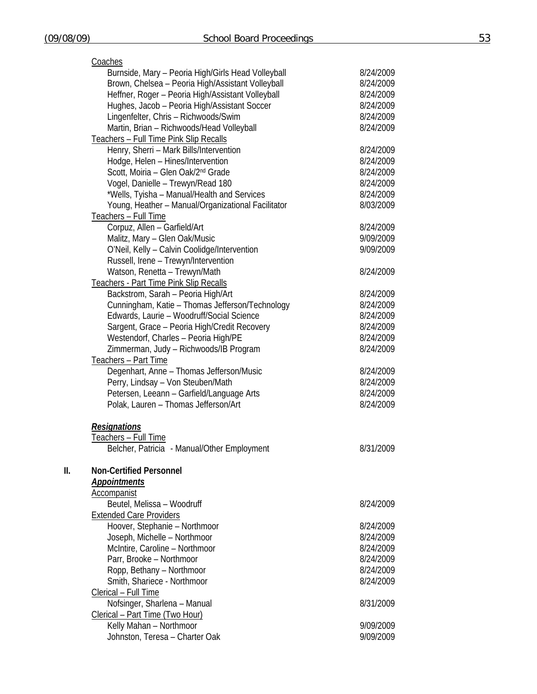| Coaches                                            |           |
|----------------------------------------------------|-----------|
| Burnside, Mary - Peoria High/Girls Head Volleyball | 8/24/2009 |
| Brown, Chelsea - Peoria High/Assistant Volleyball  | 8/24/2009 |
| Heffner, Roger - Peoria High/Assistant Volleyball  | 8/24/2009 |
| Hughes, Jacob - Peoria High/Assistant Soccer       | 8/24/2009 |
| Lingenfelter, Chris - Richwoods/Swim               | 8/24/2009 |
| Martin, Brian - Richwoods/Head Volleyball          | 8/24/2009 |
| Teachers - Full Time Pink Slip Recalls             |           |
| Henry, Sherri - Mark Bills/Intervention            | 8/24/2009 |
| Hodge, Helen - Hines/Intervention                  | 8/24/2009 |
| Scott, Moiria - Glen Oak/2 <sup>nd</sup> Grade     | 8/24/2009 |
| Vogel, Danielle - Trewyn/Read 180                  | 8/24/2009 |
| *Wells, Tyisha - Manual/Health and Services        | 8/24/2009 |
| Young, Heather - Manual/Organizational Facilitator | 8/03/2009 |
| Teachers - Full Time                               |           |
| Corpuz, Allen - Garfield/Art                       | 8/24/2009 |
| Malitz, Mary - Glen Oak/Music                      | 9/09/2009 |
| O'Neil, Kelly - Calvin Coolidge/Intervention       | 9/09/2009 |
| Russell, Irene - Trewyn/Intervention               |           |
| Watson, Renetta - Trewyn/Math                      | 8/24/2009 |
| Teachers - Part Time Pink Slip Recalls             |           |
| Backstrom, Sarah - Peoria High/Art                 | 8/24/2009 |
| Cunningham, Katie - Thomas Jefferson/Technology    | 8/24/2009 |
| Edwards, Laurie - Woodruff/Social Science          | 8/24/2009 |
| Sargent, Grace - Peoria High/Credit Recovery       | 8/24/2009 |
| Westendorf, Charles - Peoria High/PE               | 8/24/2009 |
| Zimmerman, Judy - Richwoods/IB Program             | 8/24/2009 |
| Teachers - Part Time                               |           |
| Degenhart, Anne - Thomas Jefferson/Music           | 8/24/2009 |
| Perry, Lindsay - Von Steuben/Math                  | 8/24/2009 |
| Petersen, Leeann - Garfield/Language Arts          | 8/24/2009 |
| Polak, Lauren - Thomas Jefferson/Art               | 8/24/2009 |
| <b>Resignations</b>                                |           |
| Teachers - Full Time                               |           |
| Belcher, Patricia - Manual/Other Employment        | 8/31/2009 |
| <b>Non-Certified Personnel</b>                     |           |
| <b>Appointments</b>                                |           |
| Accompanist                                        |           |
| Beutel, Melissa - Woodruff                         | 8/24/2009 |
| <b>Extended Care Providers</b>                     |           |
| Hoover, Stephanie - Northmoor                      | 8/24/2009 |
| Joseph, Michelle - Northmoor                       | 8/24/2009 |
| McIntire, Caroline - Northmoor                     | 8/24/2009 |
| Parr, Brooke - Northmoor                           | 8/24/2009 |
| Ropp, Bethany - Northmoor                          | 8/24/2009 |
| Smith, Shariece - Northmoor                        | 8/24/2009 |
| Clerical - Full Time                               |           |
| Nofsinger, Sharlena - Manual                       | 8/31/2009 |
| Clerical - Part Time (Two Hour)                    |           |
| Kelly Mahan - Northmoor                            | 9/09/2009 |
| Johnston, Teresa - Charter Oak                     | 9/09/2009 |
|                                                    |           |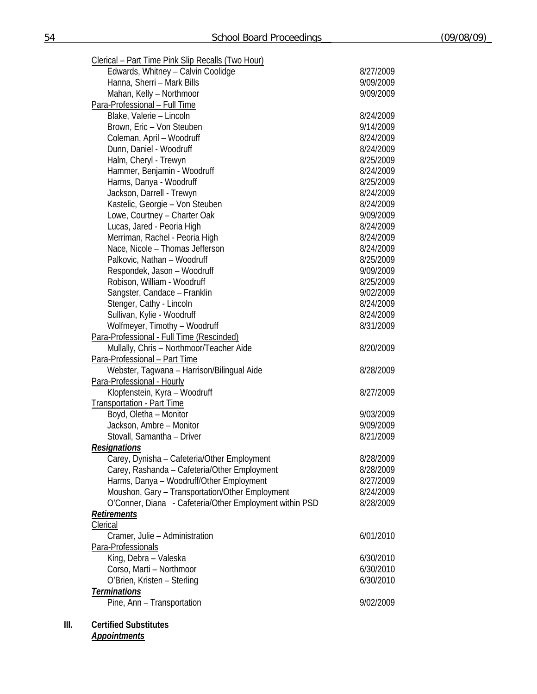| Clerical - Part Time Pink Slip Recalls (Two Hour)       |           |
|---------------------------------------------------------|-----------|
| Edwards, Whitney - Calvin Coolidge                      | 8/27/2009 |
| Hanna, Sherri - Mark Bills                              | 9/09/2009 |
| Mahan, Kelly - Northmoor                                | 9/09/2009 |
| Para-Professional - Full Time                           |           |
| Blake, Valerie - Lincoln                                | 8/24/2009 |
| Brown, Eric - Von Steuben                               | 9/14/2009 |
| Coleman, April - Woodruff                               | 8/24/2009 |
| Dunn, Daniel - Woodruff                                 | 8/24/2009 |
| Halm, Cheryl - Trewyn                                   | 8/25/2009 |
| Hammer, Benjamin - Woodruff                             | 8/24/2009 |
| Harms, Danya - Woodruff                                 | 8/25/2009 |
| Jackson, Darrell - Trewyn                               | 8/24/2009 |
|                                                         | 8/24/2009 |
| Kastelic, Georgie - Von Steuben                         |           |
| Lowe, Courtney - Charter Oak                            | 9/09/2009 |
| Lucas, Jared - Peoria High                              | 8/24/2009 |
| Merriman, Rachel - Peoria High                          | 8/24/2009 |
| Nace, Nicole - Thomas Jefferson                         | 8/24/2009 |
| Palkovic, Nathan - Woodruff                             | 8/25/2009 |
| Respondek, Jason - Woodruff                             | 9/09/2009 |
| Robison, William - Woodruff                             | 8/25/2009 |
| Sangster, Candace - Franklin                            | 9/02/2009 |
| Stenger, Cathy - Lincoln                                | 8/24/2009 |
| Sullivan, Kylie - Woodruff                              | 8/24/2009 |
| Wolfmeyer, Timothy - Woodruff                           | 8/31/2009 |
| Para-Professional - Full Time (Rescinded)               |           |
| Mullally, Chris - Northmoor/Teacher Aide                | 8/20/2009 |
| Para-Professional - Part Time                           |           |
| Webster, Tagwana - Harrison/Bilingual Aide              | 8/28/2009 |
| Para-Professional - Hourly                              |           |
| Klopfenstein, Kyra - Woodruff                           | 8/27/2009 |
| <b>Transportation - Part Time</b>                       |           |
| Boyd, Oletha - Monitor                                  | 9/03/2009 |
| Jackson, Ambre - Monitor                                | 9/09/2009 |
| Stovall, Samantha - Driver                              | 8/21/2009 |
| <b>Resignations</b>                                     |           |
| Carey, Dynisha - Cafeteria/Other Employment             | 8/28/2009 |
| Carey, Rashanda - Cafeteria/Other Employment            | 8/28/2009 |
| Harms, Danya - Woodruff/Other Employment                | 8/27/2009 |
| Moushon, Gary - Transportation/Other Employment         | 8/24/2009 |
| O'Conner, Diana - Cafeteria/Other Employment within PSD | 8/28/2009 |
| <b>Retirements</b>                                      |           |
| Clerical                                                |           |
| Cramer, Julie - Administration                          | 6/01/2010 |
| Para-Professionals                                      |           |
| King, Debra - Valeska                                   | 6/30/2010 |
| Corso, Marti - Northmoor                                | 6/30/2010 |
| O'Brien, Kristen - Sterling                             | 6/30/2010 |
| <b>Terminations</b>                                     |           |
| Pine, Ann - Transportation                              | 9/02/2009 |
|                                                         |           |

**III. Certified Substitutes** 

*Appointments*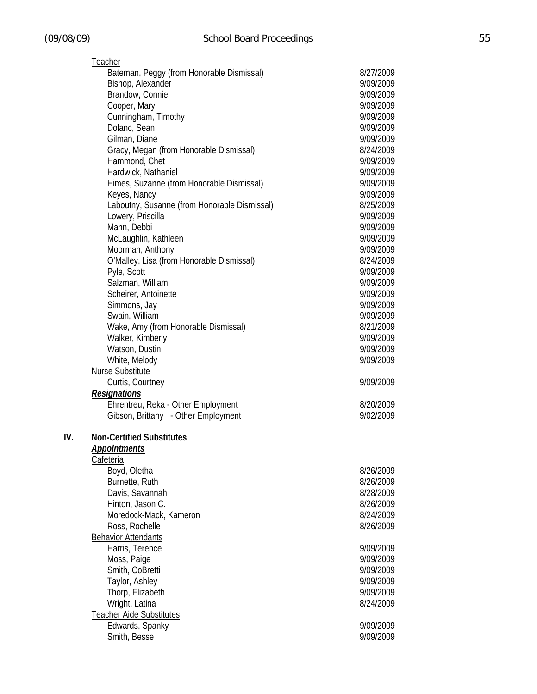|     | Teacher                                      |           |
|-----|----------------------------------------------|-----------|
|     | Bateman, Peggy (from Honorable Dismissal)    | 8/27/2009 |
|     | Bishop, Alexander                            | 9/09/2009 |
|     | Brandow, Connie                              | 9/09/2009 |
|     | Cooper, Mary                                 | 9/09/2009 |
|     | Cunningham, Timothy                          | 9/09/2009 |
|     | Dolanc, Sean                                 | 9/09/2009 |
|     | Gilman, Diane                                | 9/09/2009 |
|     | Gracy, Megan (from Honorable Dismissal)      | 8/24/2009 |
|     | Hammond, Chet                                | 9/09/2009 |
|     | Hardwick, Nathaniel                          | 9/09/2009 |
|     | Himes, Suzanne (from Honorable Dismissal)    | 9/09/2009 |
|     | Keyes, Nancy                                 | 9/09/2009 |
|     | Laboutny, Susanne (from Honorable Dismissal) | 8/25/2009 |
|     | Lowery, Priscilla                            | 9/09/2009 |
|     | Mann, Debbi                                  | 9/09/2009 |
|     | McLaughlin, Kathleen                         | 9/09/2009 |
|     | Moorman, Anthony                             | 9/09/2009 |
|     | O'Malley, Lisa (from Honorable Dismissal)    | 8/24/2009 |
|     | Pyle, Scott                                  | 9/09/2009 |
|     | Salzman, William                             | 9/09/2009 |
|     | Scheirer, Antoinette                         | 9/09/2009 |
|     | Simmons, Jay                                 | 9/09/2009 |
|     | Swain, William                               | 9/09/2009 |
|     | Wake, Amy (from Honorable Dismissal)         | 8/21/2009 |
|     | Walker, Kimberly                             | 9/09/2009 |
|     | Watson, Dustin                               | 9/09/2009 |
|     | White, Melody                                | 9/09/2009 |
|     | <b>Nurse Substitute</b>                      |           |
|     | Curtis, Courtney                             | 9/09/2009 |
|     | <b>Resignations</b>                          |           |
|     | Ehrentreu, Reka - Other Employment           | 8/20/2009 |
|     | Gibson, Brittany - Other Employment          | 9/02/2009 |
|     |                                              |           |
| IV. | <b>Non-Certified Substitutes</b>             |           |
|     | Appointments                                 |           |
|     | Cafeteria                                    |           |
|     | Boyd, Oletha                                 | 8/26/2009 |
|     | Burnette, Ruth                               | 8/26/2009 |
|     | Davis, Savannah                              | 8/28/2009 |
|     | Hinton, Jason C.                             | 8/26/2009 |
|     | Moredock-Mack, Kameron                       | 8/24/2009 |
|     | Ross, Rochelle                               | 8/26/2009 |
|     | <b>Behavior Attendants</b>                   |           |
|     | Harris, Terence                              | 9/09/2009 |
|     | Moss, Paige                                  | 9/09/2009 |
|     | Smith, CoBretti                              | 9/09/2009 |
|     | Taylor, Ashley                               | 9/09/2009 |
|     | Thorp, Elizabeth                             | 9/09/2009 |
|     | Wright, Latina                               | 8/24/2009 |
|     | <b>Teacher Aide Substitutes</b>              |           |
|     | Edwards, Spanky                              | 9/09/2009 |
|     | Smith, Besse                                 | 9/09/2009 |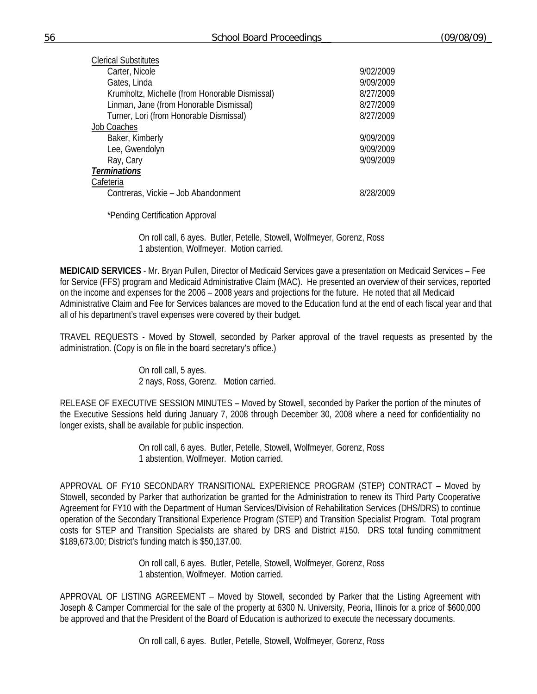| Clerical Substitutes                           |           |
|------------------------------------------------|-----------|
| Carter, Nicole                                 | 9/02/2009 |
| Gates, Linda                                   | 9/09/2009 |
| Krumholtz, Michelle (from Honorable Dismissal) | 8/27/2009 |
| Linman, Jane (from Honorable Dismissal)        | 8/27/2009 |
| Turner, Lori (from Honorable Dismissal)        | 8/27/2009 |
| <b>Job Coaches</b>                             |           |
| Baker, Kimberly                                | 9/09/2009 |
| Lee, Gwendolyn                                 | 9/09/2009 |
| Ray, Cary                                      | 9/09/2009 |
| <b>Terminations</b>                            |           |
| Cafeteria                                      |           |
| Contreras, Vickie - Job Abandonment            | 8/28/2009 |
|                                                |           |

\*Pending Certification Approval

 On roll call, 6 ayes. Butler, Petelle, Stowell, Wolfmeyer, Gorenz, Ross 1 abstention, Wolfmeyer. Motion carried.

**MEDICAID SERVICES** - Mr. Bryan Pullen, Director of Medicaid Services gave a presentation on Medicaid Services – Fee for Service (FFS) program and Medicaid Administrative Claim (MAC). He presented an overview of their services, reported on the income and expenses for the 2006 – 2008 years and projections for the future. He noted that all Medicaid Administrative Claim and Fee for Services balances are moved to the Education fund at the end of each fiscal year and that all of his department's travel expenses were covered by their budget.

TRAVEL REQUESTS - Moved by Stowell, seconded by Parker approval of the travel requests as presented by the administration. (Copy is on file in the board secretary's office.)

> On roll call, 5 ayes. 2 nays, Ross, Gorenz. Motion carried.

RELEASE OF EXECUTIVE SESSION MINUTES – Moved by Stowell, seconded by Parker the portion of the minutes of the Executive Sessions held during January 7, 2008 through December 30, 2008 where a need for confidentiality no longer exists, shall be available for public inspection.

> On roll call, 6 ayes. Butler, Petelle, Stowell, Wolfmeyer, Gorenz, Ross 1 abstention, Wolfmeyer. Motion carried.

APPROVAL OF FY10 SECONDARY TRANSITIONAL EXPERIENCE PROGRAM (STEP) CONTRACT – Moved by Stowell, seconded by Parker that authorization be granted for the Administration to renew its Third Party Cooperative Agreement for FY10 with the Department of Human Services/Division of Rehabilitation Services (DHS/DRS) to continue operation of the Secondary Transitional Experience Program (STEP) and Transition Specialist Program. Total program costs for STEP and Transition Specialists are shared by DRS and District #150. DRS total funding commitment \$189,673.00; District's funding match is \$50,137.00.

> On roll call, 6 ayes. Butler, Petelle, Stowell, Wolfmeyer, Gorenz, Ross 1 abstention, Wolfmeyer. Motion carried.

APPROVAL OF LISTING AGREEMENT – Moved by Stowell, seconded by Parker that the Listing Agreement with Joseph & Camper Commercial for the sale of the property at 6300 N. University, Peoria, Illinois for a price of \$600,000 be approved and that the President of the Board of Education is authorized to execute the necessary documents.

On roll call, 6 ayes. Butler, Petelle, Stowell, Wolfmeyer, Gorenz, Ross

clerical Substitutes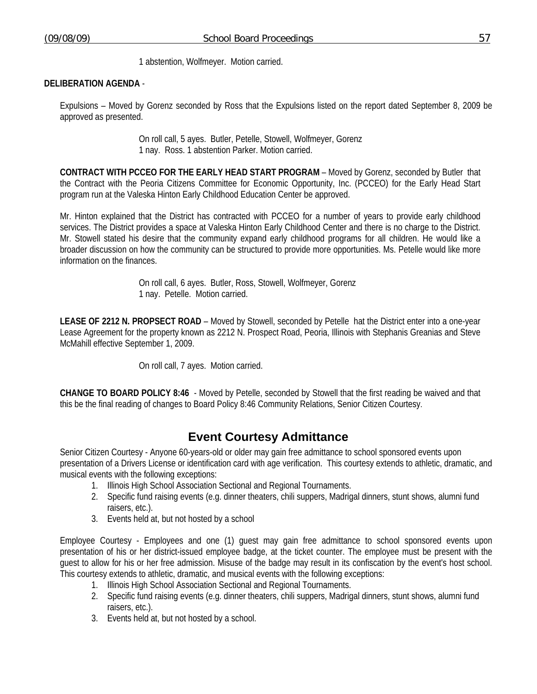1 abstention, Wolfmeyer. Motion carried.

### **DELIBERATION AGENDA** -

Expulsions – Moved by Gorenz seconded by Ross that the Expulsions listed on the report dated September 8, 2009 be approved as presented.

> On roll call, 5 ayes. Butler, Petelle, Stowell, Wolfmeyer, Gorenz 1 nay. Ross. 1 abstention Parker. Motion carried.

**CONTRACT WITH PCCEO FOR THE EARLY HEAD START PROGRAM** – Moved by Gorenz, seconded by Butler that the Contract with the Peoria Citizens Committee for Economic Opportunity, Inc. (PCCEO) for the Early Head Start program run at the Valeska Hinton Early Childhood Education Center be approved.

Mr. Hinton explained that the District has contracted with PCCEO for a number of years to provide early childhood services. The District provides a space at Valeska Hinton Early Childhood Center and there is no charge to the District. Mr. Stowell stated his desire that the community expand early childhood programs for all children. He would like a broader discussion on how the community can be structured to provide more opportunities. Ms. Petelle would like more information on the finances.

> On roll call, 6 ayes. Butler, Ross, Stowell, Wolfmeyer, Gorenz 1 nay. Petelle. Motion carried.

**LEASE OF 2212 N. PROPSECT ROAD** – Moved by Stowell, seconded by Petelle hat the District enter into a one-year Lease Agreement for the property known as 2212 N. Prospect Road, Peoria, Illinois with Stephanis Greanias and Steve McMahill effective September 1, 2009.

On roll call, 7 ayes. Motion carried.

**CHANGE TO BOARD POLICY 8:46** - Moved by Petelle, seconded by Stowell that the first reading be waived and that this be the final reading of changes to Board Policy 8:46 Community Relations, Senior Citizen Courtesy.

# **Event Courtesy Admittance**

Senior Citizen Courtesy - Anyone 60-years-old or older may gain free admittance to school sponsored events upon presentation of a Drivers License or identification card with age verification. This courtesy extends to athletic, dramatic, and musical events with the following exceptions:

- 1. Illinois High School Association Sectional and Regional Tournaments.
- 2. Specific fund raising events (e.g. dinner theaters, chili suppers, Madrigal dinners, stunt shows, alumni fund raisers, etc.).
- 3. Events held at, but not hosted by a school

Employee Courtesy - Employees and one (1) guest may gain free admittance to school sponsored events upon presentation of his or her district-issued employee badge, at the ticket counter. The employee must be present with the guest to allow for his or her free admission. Misuse of the badge may result in its confiscation by the event's host school. This courtesy extends to athletic, dramatic, and musical events with the following exceptions:

- 1. Illinois High School Association Sectional and Regional Tournaments.
- 2. Specific fund raising events (e.g. dinner theaters, chili suppers, Madrigal dinners, stunt shows, alumni fund raisers, etc.).
- 3. Events held at, but not hosted by a school.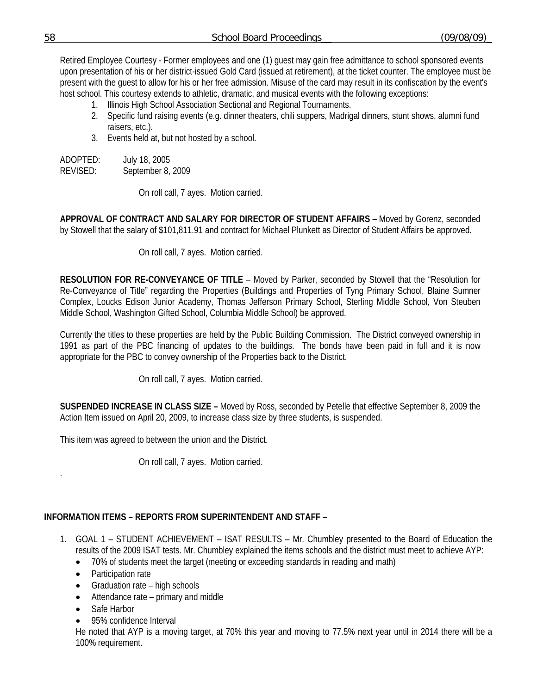Retired Employee Courtesy - Former employees and one (1) guest may gain free admittance to school sponsored events upon presentation of his or her district-issued Gold Card (issued at retirement), at the ticket counter. The employee must be present with the guest to allow for his or her free admission. Misuse of the card may result in its confiscation by the event's host school. This courtesy extends to athletic, dramatic, and musical events with the following exceptions:

- 1. Illinois High School Association Sectional and Regional Tournaments.
- 2. Specific fund raising events (e.g. dinner theaters, chili suppers, Madrigal dinners, stunt shows, alumni fund raisers, etc.).
- 3. Events held at, but not hosted by a school.

ADOPTED: July 18, 2005 REVISED: September 8, 2009

On roll call, 7 ayes. Motion carried.

**APPROVAL OF CONTRACT AND SALARY FOR DIRECTOR OF STUDENT AFFAIRS** – Moved by Gorenz, seconded by Stowell that the salary of \$101,811.91 and contract for Michael Plunkett as Director of Student Affairs be approved.

On roll call, 7 ayes. Motion carried.

**RESOLUTION FOR RE-CONVEYANCE OF TITLE** – Moved by Parker, seconded by Stowell that the "Resolution for Re-Conveyance of Title" regarding the Properties (Buildings and Properties of Tyng Primary School, Blaine Sumner Complex, Loucks Edison Junior Academy, Thomas Jefferson Primary School, Sterling Middle School, Von Steuben Middle School, Washington Gifted School, Columbia Middle School) be approved.

Currently the titles to these properties are held by the Public Building Commission. The District conveyed ownership in 1991 as part of the PBC financing of updates to the buildings. The bonds have been paid in full and it is now appropriate for the PBC to convey ownership of the Properties back to the District.

On roll call, 7 ayes. Motion carried.

**SUSPENDED INCREASE IN CLASS SIZE –** Moved by Ross, seconded by Petelle that effective September 8, 2009 the Action Item issued on April 20, 2009, to increase class size by three students, is suspended.

This item was agreed to between the union and the District.

On roll call, 7 ayes. Motion carried.

## **INFORMATION ITEMS – REPORTS FROM SUPERINTENDENT AND STAFF** –

- 1. GOAL 1 STUDENT ACHIEVEMENT ISAT RESULTS Mr. Chumbley presented to the Board of Education the results of the 2009 ISAT tests. Mr. Chumbley explained the items schools and the district must meet to achieve AYP:
	- 70% of students meet the target (meeting or exceeding standards in reading and math)
	- Participation rate
	- Graduation rate high schools
	- Attendance rate primary and middle
	- Safe Harbor

.

• 95% confidence Interval

He noted that AYP is a moving target, at 70% this year and moving to 77.5% next year until in 2014 there will be a 100% requirement.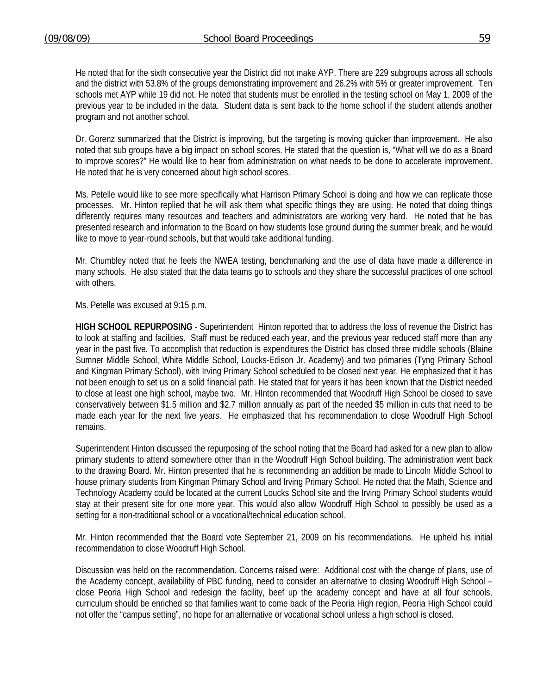He noted that for the sixth consecutive year the District did not make AYP. There are 229 subgroups across all schools and the district with 53.8% of the groups demonstrating improvement and 26.2% with 5% or greater improvement. Ten schools met AYP while 19 did not. He noted that students must be enrolled in the testing school on May 1, 2009 of the previous year to be included in the data. Student data is sent back to the home school if the student attends another program and not another school.

Dr. Gorenz summarized that the District is improving, but the targeting is moving quicker than improvement. He also noted that sub groups have a big impact on school scores. He stated that the question is, "What will we do as a Board to improve scores?" He would like to hear from administration on what needs to be done to accelerate improvement. He noted that he is very concerned about high school scores.

Ms. Petelle would like to see more specifically what Harrison Primary School is doing and how we can replicate those processes. Mr. Hinton replied that he will ask them what specific things they are using. He noted that doing things differently requires many resources and teachers and administrators are working very hard. He noted that he has presented research and information to the Board on how students lose ground during the summer break, and he would like to move to year-round schools, but that would take additional funding.

Mr. Chumbley noted that he feels the NWEA testing, benchmarking and the use of data have made a difference in many schools. He also stated that the data teams go to schools and they share the successful practices of one school with others.

Ms. Petelle was excused at 9:15 p.m.

**HIGH SCHOOL REPURPOSING** - Superintendent Hinton reported that to address the loss of revenue the District has to look at staffing and facilities. Staff must be reduced each year, and the previous year reduced staff more than any year in the past five. To accomplish that reduction is expenditures the District has closed three middle schools (Blaine Sumner Middle School, White Middle School, Loucks-Edison Jr. Academy) and two primaries (Tyng Primary School and Kingman Primary School), with Irving Primary School scheduled to be closed next year. He emphasized that it has not been enough to set us on a solid financial path. He stated that for years it has been known that the District needed to close at least one high school, maybe two. Mr. HInton recommended that Woodruff High School be closed to save conservatively between \$1.5 million and \$2.7 million annually as part of the needed \$5 million in cuts that need to be made each year for the next five years. He emphasized that his recommendation to close Woodruff High School remains.

Superintendent Hinton discussed the repurposing of the school noting that the Board had asked for a new plan to allow primary students to attend somewhere other than in the Woodruff High School building. The administration went back to the drawing Board. Mr. Hinton presented that he is recommending an addition be made to Lincoln Middle School to house primary students from Kingman Primary School and Irving Primary School. He noted that the Math, Science and Technology Academy could be located at the current Loucks School site and the Irving Primary School students would stay at their present site for one more year. This would also allow Woodruff High School to possibly be used as a setting for a non-traditional school or a vocational/technical education school.

Mr. Hinton recommended that the Board vote September 21, 2009 on his recommendations. He upheld his initial recommendation to close Woodruff High School.

Discussion was held on the recommendation. Concerns raised were: Additional cost with the change of plans, use of the Academy concept, availability of PBC funding, need to consider an alternative to closing Woodruff High School – close Peoria High School and redesign the facility, beef up the academy concept and have at all four schools, curriculum should be enriched so that families want to come back of the Peoria High region, Peoria High School could not offer the "campus setting", no hope for an alternative or vocational school unless a high school is closed.